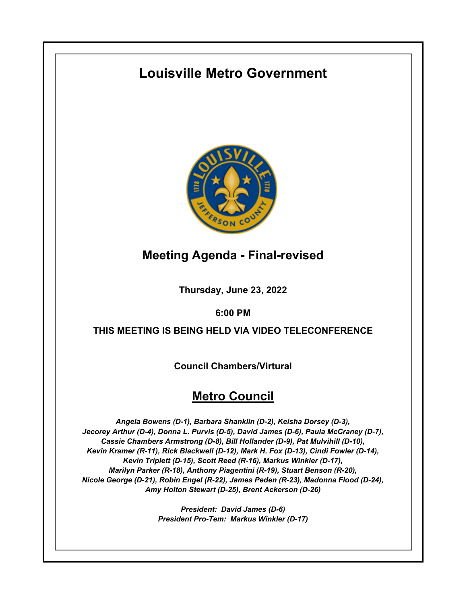# **Louisville Metro Government**



## **Meeting Agenda - Final-revised**

**Thursday, June 23, 2022**

**6:00 PM**

### **THIS MEETING IS BEING HELD VIA VIDEO TELECONFERENCE**

**Council Chambers/Virtural**

## **Metro Council**

*Angela Bowens (D-1), Barbara Shanklin (D-2), Keisha Dorsey (D-3), Jecorey Arthur (D-4), Donna L. Purvis (D-5), David James (D-6), Paula McCraney (D-7), Cassie Chambers Armstrong (D-8), Bill Hollander (D-9), Pat Mulvihill (D-10), Kevin Kramer (R-11), Rick Blackwell (D-12), Mark H. Fox (D-13), Cindi Fowler (D-14), Kevin Triplett (D-15), Scott Reed (R-16), Markus Winkler (D-17), Marilyn Parker (R-18), Anthony Piagentini (R-19), Stuart Benson (R-20), Nicole George (D-21), Robin Engel (R-22), James Peden (R-23), Madonna Flood (D-24), Amy Holton Stewart (D-25), Brent Ackerson (D-26)*

> *President: David James (D-6) President Pro-Tem: Markus Winkler (D-17)*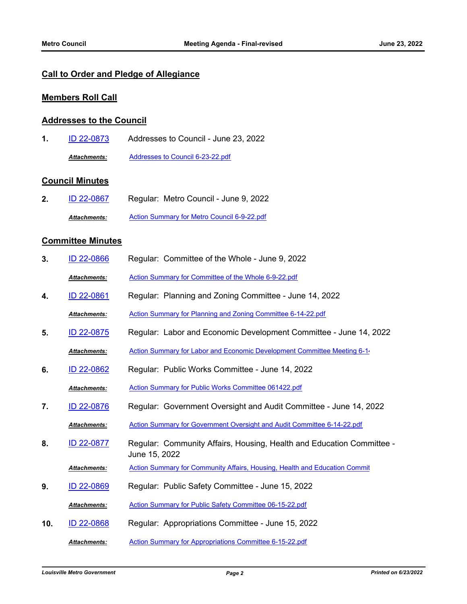### **Call to Order and Pledge of Allegiance**

#### **Members Roll Call**

#### **Addresses to the Council**

**1.** [ID 22-0873](http://louisville.legistar.com/gateway.aspx?m=l&id=/matter.aspx?key=60832) Addresses to Council - June 23, 2022 *Attachments:* [Addresses to Council 6-23-22.pdf](http://louisville.legistar.com/gateway.aspx?M=F&ID=22fe55b7-f6da-4d56-adb4-6fb06a5ddb95.pdf)

#### **Council Minutes**

**2.** [ID 22-0867](http://louisville.legistar.com/gateway.aspx?m=l&id=/matter.aspx?key=60826) Regular: Metro Council - June 9, 2022 *Attachments:* [Action Summary for Metro Council 6-9-22.pdf](http://louisville.legistar.com/gateway.aspx?M=F&ID=669be1f4-6bb1-4caa-be0a-0c2d857ef5d6.pdf)

#### **Committee Minutes**

| 3.  | ID 22-0866          | Regular: Committee of the Whole - June 9, 2022                                         |
|-----|---------------------|----------------------------------------------------------------------------------------|
|     | <b>Attachments:</b> | Action Summary for Committee of the Whole 6-9-22.pdf                                   |
| 4.  | ID 22-0861          | Regular: Planning and Zoning Committee - June 14, 2022                                 |
|     | <b>Attachments:</b> | Action Summary for Planning and Zoning Committee 6-14-22.pdf                           |
| 5.  | ID 22-0875          | Regular: Labor and Economic Development Committee - June 14, 2022                      |
|     | <b>Attachments:</b> | Action Summary for Labor and Economic Development Committee Meeting 6-1                |
| 6.  | ID 22-0862          | Regular: Public Works Committee - June 14, 2022                                        |
|     | Attachments:        | Action Summary for Public Works Committee 061422.pdf                                   |
| 7.  | ID 22-0876          | Regular: Government Oversight and Audit Committee - June 14, 2022                      |
|     | Attachments:        | Action Summary for Government Oversight and Audit Committee 6-14-22.pdf                |
| 8.  | <u>ID 22-0877</u>   | Regular: Community Affairs, Housing, Health and Education Committee -<br>June 15, 2022 |
|     | <b>Attachments:</b> | Action Summary for Community Affairs, Housing, Health and Education Commit             |
| 9.  | <u>ID 22-0869</u>   | Regular: Public Safety Committee - June 15, 2022                                       |
|     | Attachments:        | Action Summary for Public Safety Committee 06-15-22.pdf                                |
| 10. | <b>ID 22-0868</b>   | Regular: Appropriations Committee - June 15, 2022                                      |
|     | <b>Attachments:</b> | Action Summary for Appropriations Committee 6-15-22.pdf                                |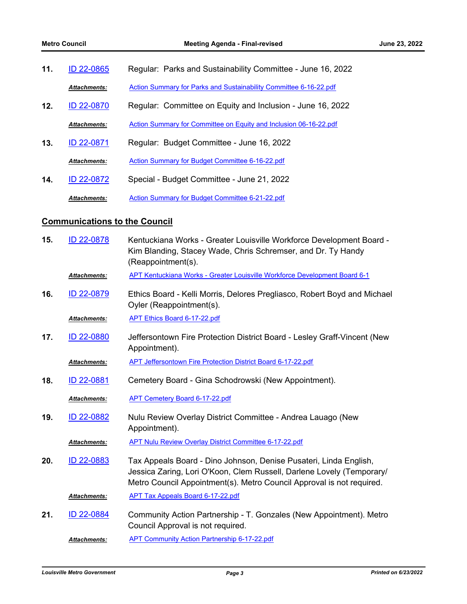| ID 22-0865<br>11. |                     | Regular: Parks and Sustainability Committee - June 16, 2022       |
|-------------------|---------------------|-------------------------------------------------------------------|
|                   | <b>Attachments:</b> | Action Summary for Parks and Sustainability Committee 6-16-22.pdf |
| 12.               | ID 22-0870          | Regular: Committee on Equity and Inclusion - June 16, 2022        |
|                   | <b>Attachments:</b> | Action Summary for Committee on Equity and Inclusion 06-16-22.pdf |
| 13.               | ID 22-0871          | Regular: Budget Committee - June 16, 2022                         |
|                   | <b>Attachments:</b> | Action Summary for Budget Committee 6-16-22.pdf                   |
| 14.               | ID 22-0872          | Special - Budget Committee - June 21, 2022                        |
|                   | <b>Attachments:</b> | Action Summary for Budget Committee 6-21-22.pdf                   |

### **Communications to the Council**

| 15. | ID 22-0878          | Kentuckiana Works - Greater Louisville Workforce Development Board -<br>Kim Blanding, Stacey Wade, Chris Schremser, and Dr. Ty Handy<br>(Reappointment(s).                                                          |
|-----|---------------------|---------------------------------------------------------------------------------------------------------------------------------------------------------------------------------------------------------------------|
|     | Attachments:        | APT Kentuckiana Works - Greater Louisville Workforce Development Board 6-1                                                                                                                                          |
| 16. | ID 22-0879          | Ethics Board - Kelli Morris, Delores Pregliasco, Robert Boyd and Michael<br>Oyler (Reappointment(s).                                                                                                                |
|     | <b>Attachments:</b> | <b>APT Ethics Board 6-17-22.pdf</b>                                                                                                                                                                                 |
| 17. | ID 22-0880          | Jeffersontown Fire Protection District Board - Lesley Graff-Vincent (New<br>Appointment).                                                                                                                           |
|     | Attachments:        | APT Jeffersontown Fire Protection District Board 6-17-22.pdf                                                                                                                                                        |
| 18. | ID 22-0881          | Cemetery Board - Gina Schodrowski (New Appointment).                                                                                                                                                                |
|     | Attachments:        | <b>APT Cemetery Board 6-17-22.pdf</b>                                                                                                                                                                               |
| 19. | ID 22-0882          | Nulu Review Overlay District Committee - Andrea Lauago (New<br>Appointment).                                                                                                                                        |
|     | Attachments:        | <b>APT Nulu Review Overlay District Committee 6-17-22.pdf</b>                                                                                                                                                       |
| 20. | ID 22-0883          | Tax Appeals Board - Dino Johnson, Denise Pusateri, Linda English,<br>Jessica Zaring, Lori O'Koon, Clem Russell, Darlene Lovely (Temporary/<br>Metro Council Appointment(s). Metro Council Approval is not required. |
|     | <b>Attachments:</b> | <b>APT Tax Appeals Board 6-17-22.pdf</b>                                                                                                                                                                            |
| 21. | ID 22-0884          | Community Action Partnership - T. Gonzales (New Appointment). Metro<br>Council Approval is not required.                                                                                                            |
|     | <b>Attachments:</b> | <b>APT Community Action Partnership 6-17-22.pdf</b>                                                                                                                                                                 |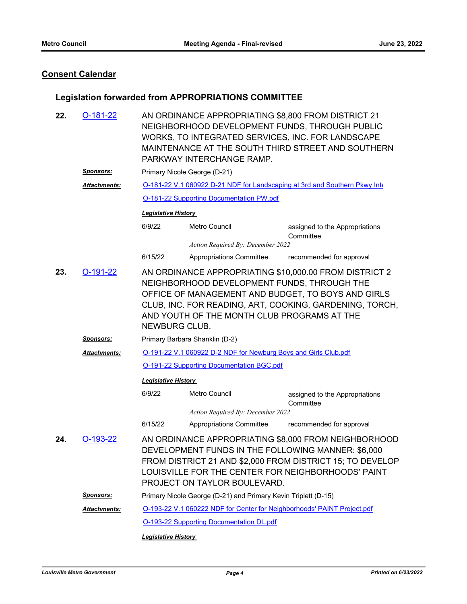### **Consent Calendar**

### **Legislation forwarded from APPROPRIATIONS COMMITTEE**

| 22. | $O-181-22$                                                                                                                                                                                                                                                                                                  | AN ORDINANCE APPROPRIATING \$8,800 FROM DISTRICT 21<br>NEIGHBORHOOD DEVELOPMENT FUNDS, THROUGH PUBLIC<br>WORKS, TO INTEGRATED SERVICES, INC. FOR LANDSCAPE<br>MAINTENANCE AT THE SOUTH THIRD STREET AND SOUTHERN<br>PARKWAY INTERCHANGE RAMP.                 |                                                                         |                                                                            |  |  |  |
|-----|-------------------------------------------------------------------------------------------------------------------------------------------------------------------------------------------------------------------------------------------------------------------------------------------------------------|---------------------------------------------------------------------------------------------------------------------------------------------------------------------------------------------------------------------------------------------------------------|-------------------------------------------------------------------------|----------------------------------------------------------------------------|--|--|--|
|     | <u>Sponsors:</u>                                                                                                                                                                                                                                                                                            |                                                                                                                                                                                                                                                               | Primary Nicole George (D-21)                                            |                                                                            |  |  |  |
|     | Attachments:                                                                                                                                                                                                                                                                                                |                                                                                                                                                                                                                                                               |                                                                         | O-181-22 V.1 060922 D-21 NDF for Landscaping at 3rd and Southern Pkwy Inte |  |  |  |
|     |                                                                                                                                                                                                                                                                                                             |                                                                                                                                                                                                                                                               | O-181-22 Supporting Documentation PW.pdf                                |                                                                            |  |  |  |
|     |                                                                                                                                                                                                                                                                                                             | <b>Legislative History</b>                                                                                                                                                                                                                                    |                                                                         |                                                                            |  |  |  |
|     |                                                                                                                                                                                                                                                                                                             | 6/9/22                                                                                                                                                                                                                                                        | Metro Council                                                           | assigned to the Appropriations<br>Committee                                |  |  |  |
|     |                                                                                                                                                                                                                                                                                                             |                                                                                                                                                                                                                                                               | Action Required By: December 2022                                       |                                                                            |  |  |  |
|     |                                                                                                                                                                                                                                                                                                             | 6/15/22                                                                                                                                                                                                                                                       | Appropriations Committee                                                | recommended for approval                                                   |  |  |  |
| 23. | $O-191-22$<br>AN ORDINANCE APPROPRIATING \$10,000.00 FROM DISTRICT 2<br>NEIGHBORHOOD DEVELOPMENT FUNDS, THROUGH THE<br>OFFICE OF MANAGEMENT AND BUDGET, TO BOYS AND GIRLS<br>CLUB, INC. FOR READING, ART, COOKING, GARDENING, TORCH,<br>AND YOUTH OF THE MONTH CLUB PROGRAMS AT THE<br><b>NEWBURG CLUB.</b> |                                                                                                                                                                                                                                                               |                                                                         |                                                                            |  |  |  |
|     | <u>Sponsors:</u>                                                                                                                                                                                                                                                                                            | Primary Barbara Shanklin (D-2)                                                                                                                                                                                                                                |                                                                         |                                                                            |  |  |  |
|     | Attachments:                                                                                                                                                                                                                                                                                                | O-191-22 V.1 060922 D-2 NDF for Newburg Boys and Girls Club.pdf                                                                                                                                                                                               |                                                                         |                                                                            |  |  |  |
|     |                                                                                                                                                                                                                                                                                                             | <b>O-191-22 Supporting Documentation BGC.pdf</b>                                                                                                                                                                                                              |                                                                         |                                                                            |  |  |  |
|     |                                                                                                                                                                                                                                                                                                             |                                                                                                                                                                                                                                                               | <b>Legislative History</b>                                              |                                                                            |  |  |  |
|     |                                                                                                                                                                                                                                                                                                             | 6/9/22                                                                                                                                                                                                                                                        | <b>Metro Council</b>                                                    | assigned to the Appropriations<br>Committee                                |  |  |  |
|     |                                                                                                                                                                                                                                                                                                             |                                                                                                                                                                                                                                                               | Action Required By: December 2022                                       |                                                                            |  |  |  |
|     |                                                                                                                                                                                                                                                                                                             | 6/15/22                                                                                                                                                                                                                                                       | Appropriations Committee                                                | recommended for approval                                                   |  |  |  |
| 24. | $O-193-22$                                                                                                                                                                                                                                                                                                  | AN ORDINANCE APPROPRIATING \$8,000 FROM NEIGHBORHOOD<br>DEVELOPMENT FUNDS IN THE FOLLOWING MANNER: \$6,000<br>FROM DISTRICT 21 AND \$2,000 FROM DISTRICT 15; TO DEVELOP<br>LOUISVILLE FOR THE CENTER FOR NEIGHBORHOODS' PAINT<br>PROJECT ON TAYLOR BOULEVARD. |                                                                         |                                                                            |  |  |  |
|     | <b>Sponsors:</b>                                                                                                                                                                                                                                                                                            |                                                                                                                                                                                                                                                               | Primary Nicole George (D-21) and Primary Kevin Triplett (D-15)          |                                                                            |  |  |  |
|     | Attachments:                                                                                                                                                                                                                                                                                                |                                                                                                                                                                                                                                                               | O-193-22 V.1 060222 NDF for Center for Neighborhoods' PAINT Project.pdf |                                                                            |  |  |  |
|     |                                                                                                                                                                                                                                                                                                             |                                                                                                                                                                                                                                                               | <b>O-193-22 Supporting Documentation DL.pdf</b>                         |                                                                            |  |  |  |
|     |                                                                                                                                                                                                                                                                                                             |                                                                                                                                                                                                                                                               |                                                                         |                                                                            |  |  |  |

*Legislative History*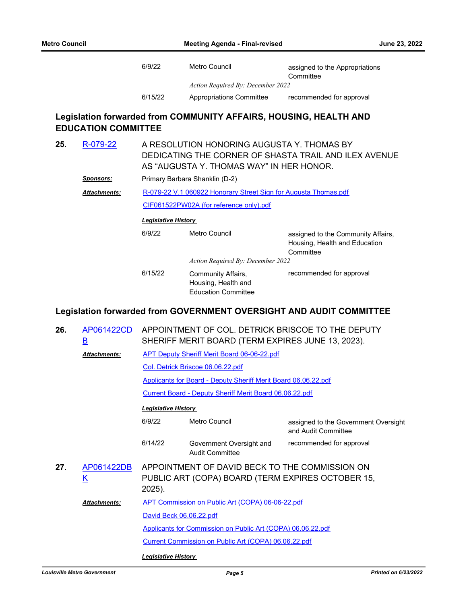| 6/9/22  | Metro Council                     | assigned to the Appropriations |
|---------|-----------------------------------|--------------------------------|
|         |                                   | Committee                      |
|         | Action Required By: December 2022 |                                |
| 6/15/22 | Appropriations Committee          | recommended for approval       |

### **Legislation forwarded from COMMUNITY AFFAIRS, HOUSING, HEALTH AND EDUCATION COMMITTEE**

| 25. | R-079-22            | A RESOLUTION HONORING AUGUSTA Y. THOMAS BY<br>DEDICATING THE CORNER OF SHASTA TRAIL AND ILEX AVENUE<br>AS "AUGUSTA Y. THOMAS WAY" IN HER HONOR.<br>Primary Barbara Shanklin (D-2) |                                                                         |                                                                                  |  |
|-----|---------------------|-----------------------------------------------------------------------------------------------------------------------------------------------------------------------------------|-------------------------------------------------------------------------|----------------------------------------------------------------------------------|--|
|     | <b>Sponsors:</b>    |                                                                                                                                                                                   |                                                                         |                                                                                  |  |
|     | <b>Attachments:</b> | R-079-22 V.1 060922 Honorary Street Sign for Augusta Thomas.pdf                                                                                                                   |                                                                         |                                                                                  |  |
|     |                     |                                                                                                                                                                                   | CIF061522PW02A (for reference only).pdf                                 |                                                                                  |  |
|     |                     | <b>Legislative History</b>                                                                                                                                                        |                                                                         |                                                                                  |  |
|     |                     | 6/9/22                                                                                                                                                                            | Metro Council                                                           | assigned to the Community Affairs,<br>Housing, Health and Education<br>Committee |  |
|     |                     |                                                                                                                                                                                   | Action Required By: December 2022                                       |                                                                                  |  |
|     |                     | 6/15/22                                                                                                                                                                           | Community Affairs,<br>Housing, Health and<br><b>Education Committee</b> | recommended for approval                                                         |  |

### **Legislation forwarded from GOVERNMENT OVERSIGHT AND AUDIT COMMITTEE**

| 26. | AP061422CD<br>$\overline{\mathsf{B}}$ | APPOINTMENT OF COL. DETRICK BRISCOE TO THE DEPUTY<br>SHERIFF MERIT BOARD (TERM EXPIRES JUNE 13, 2023).                                     |                                                                |                          |  |  |
|-----|---------------------------------------|--------------------------------------------------------------------------------------------------------------------------------------------|----------------------------------------------------------------|--------------------------|--|--|
|     | <b>Attachments:</b>                   | <b>APT Deputy Sheriff Merit Board 06-06-22.pdf</b>                                                                                         |                                                                |                          |  |  |
|     |                                       |                                                                                                                                            | Col. Detrick Briscoe 06.06.22.pdf                              |                          |  |  |
|     |                                       |                                                                                                                                            | Applicants for Board - Deputy Sheriff Merit Board 06.06.22.pdf |                          |  |  |
|     |                                       |                                                                                                                                            | Current Board - Deputy Sheriff Merit Board 06.06.22.pdf        |                          |  |  |
|     |                                       | <b>Legislative History</b>                                                                                                                 |                                                                |                          |  |  |
|     |                                       | 6/9/22                                                                                                                                     | assigned to the Government Oversight<br>and Audit Committee    |                          |  |  |
|     |                                       | 6/14/22                                                                                                                                    | Government Oversight and<br><b>Audit Committee</b>             | recommended for approval |  |  |
| 27. | AP061422DB<br><u>K</u>                | APPOINTMENT OF DAVID BECK TO THE COMMISSION ON<br>PUBLIC ART (COPA) BOARD (TERM EXPIRES OCTOBER 15,<br>2025).                              |                                                                |                          |  |  |
|     | Attachments:                          | APT Commission on Public Art (COPA) 06-06-22.pdf<br>David Beck 06.06.22.pdf<br>Applicants for Commission on Public Art (COPA) 06.06.22.pdf |                                                                |                          |  |  |
|     |                                       |                                                                                                                                            |                                                                |                          |  |  |
|     |                                       |                                                                                                                                            |                                                                |                          |  |  |
|     |                                       |                                                                                                                                            | Current Commission on Public Art (COPA) 06.06.22.pdf           |                          |  |  |
|     |                                       | <b>Legislative History</b>                                                                                                                 |                                                                |                          |  |  |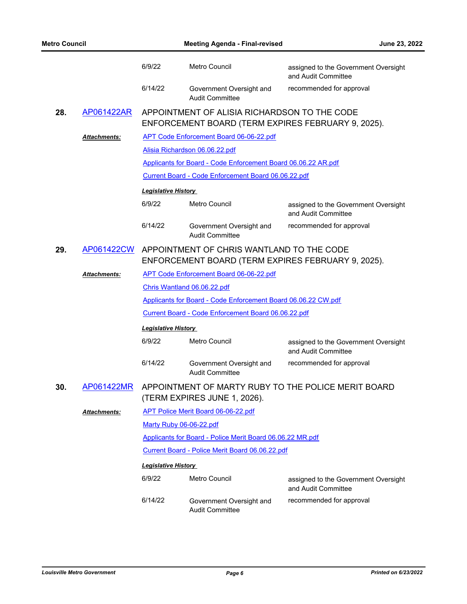| <b>Metro Council</b> |              | <b>Meeting Agenda - Final-revised</b> |                                                                                                            | June 23, 2022                                               |  |
|----------------------|--------------|---------------------------------------|------------------------------------------------------------------------------------------------------------|-------------------------------------------------------------|--|
|                      |              | 6/9/22                                | Metro Council                                                                                              | assigned to the Government Oversight<br>and Audit Committee |  |
|                      |              | 6/14/22                               | Government Oversight and<br><b>Audit Committee</b>                                                         | recommended for approval                                    |  |
| 28.                  | AP061422AR   |                                       | APPOINTMENT OF ALISIA RICHARDSON TO THE CODE<br>ENFORCEMENT BOARD (TERM EXPIRES FEBRUARY 9, 2025).         |                                                             |  |
|                      | Attachments: |                                       | <b>APT Code Enforcement Board 06-06-22.pdf</b>                                                             |                                                             |  |
|                      |              |                                       | Alisia Richardson 06.06.22.pdf                                                                             |                                                             |  |
|                      |              |                                       | Applicants for Board - Code Enforcement Board 06.06.22 AR.pdf                                              |                                                             |  |
|                      |              |                                       | Current Board - Code Enforcement Board 06.06.22.pdf                                                        |                                                             |  |
|                      |              | <b>Legislative History</b>            |                                                                                                            |                                                             |  |
|                      |              | 6/9/22                                | Metro Council                                                                                              | assigned to the Government Oversight<br>and Audit Committee |  |
|                      |              | 6/14/22                               | Government Oversight and<br><b>Audit Committee</b>                                                         | recommended for approval                                    |  |
| 29.                  |              |                                       | AP061422CW APPOINTMENT OF CHRIS WANTLAND TO THE CODE<br>ENFORCEMENT BOARD (TERM EXPIRES FEBRUARY 9, 2025). |                                                             |  |
|                      | Attachments: |                                       | APT Code Enforcement Board 06-06-22.pdf                                                                    |                                                             |  |
|                      |              |                                       | Chris Wantland 06.06.22.pdf                                                                                |                                                             |  |
|                      |              |                                       | Applicants for Board - Code Enforcement Board 06.06.22 CW.pdf                                              |                                                             |  |
|                      |              |                                       | Current Board - Code Enforcement Board 06.06.22.pdf                                                        |                                                             |  |
|                      |              | <b>Legislative History</b>            |                                                                                                            |                                                             |  |
|                      |              | 6/9/22                                | Metro Council                                                                                              | assigned to the Government Oversight<br>and Audit Committee |  |
|                      |              | 6/14/22                               | Government Oversight and<br><b>Audit Committee</b>                                                         | recommended for approval                                    |  |
| 30.                  | AP061422MR   |                                       | APPOINTMENT OF MARTY RUBY TO THE POLICE MERIT BOARD<br>(TERM EXPIRES JUNE 1, 2026).                        |                                                             |  |
|                      | Attachments: |                                       | APT Police Merit Board 06-06-22.pdf                                                                        |                                                             |  |
|                      |              |                                       | Marty Ruby 06-06-22.pdf                                                                                    |                                                             |  |
|                      |              |                                       | Applicants for Board - Police Merit Board 06.06.22 MR.pdf                                                  |                                                             |  |
|                      |              |                                       | Current Board - Police Merit Board 06.06.22.pdf                                                            |                                                             |  |
|                      |              | <b>Legislative History</b>            |                                                                                                            |                                                             |  |
|                      |              | 6/9/22                                | <b>Metro Council</b>                                                                                       | assigned to the Government Oversight<br>and Audit Committee |  |
|                      |              | 6/14/22                               | Government Oversight and<br><b>Audit Committee</b>                                                         | recommended for approval                                    |  |
|                      |              |                                       |                                                                                                            |                                                             |  |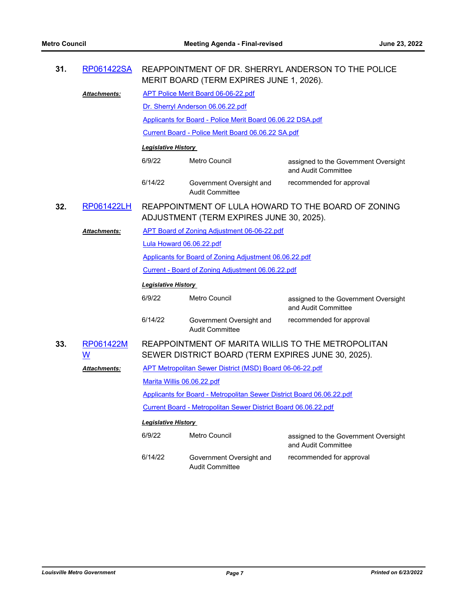| 31. | RP061422SA                            |                                                                                                          | REAPPOINTMENT OF DR. SHERRYL ANDERSON TO THE POLICE<br>MERIT BOARD (TERM EXPIRES JUNE 1, 2026). |                                                             |  |
|-----|---------------------------------------|----------------------------------------------------------------------------------------------------------|-------------------------------------------------------------------------------------------------|-------------------------------------------------------------|--|
|     | <b>Attachments:</b>                   | <b>APT Police Merit Board 06-06-22.pdf</b>                                                               |                                                                                                 |                                                             |  |
|     |                                       |                                                                                                          | Dr. Sherryl Anderson 06.06.22.pdf                                                               |                                                             |  |
|     |                                       |                                                                                                          | Applicants for Board - Police Merit Board 06.06.22 DSA.pdf                                      |                                                             |  |
|     |                                       |                                                                                                          | Current Board - Police Merit Board 06.06.22 SA.pdf                                              |                                                             |  |
|     |                                       | <b>Legislative History</b>                                                                               |                                                                                                 |                                                             |  |
|     |                                       | 6/9/22                                                                                                   | <b>Metro Council</b>                                                                            | assigned to the Government Oversight<br>and Audit Committee |  |
|     |                                       | 6/14/22                                                                                                  | Government Oversight and<br><b>Audit Committee</b>                                              | recommended for approval                                    |  |
| 32. | RP061422LH                            |                                                                                                          | REAPPOINTMENT OF LULA HOWARD TO THE BOARD OF ZONING<br>ADJUSTMENT (TERM EXPIRES JUNE 30, 2025). |                                                             |  |
|     | <b>Attachments:</b>                   | APT Board of Zoning Adjustment 06-06-22.pdf                                                              |                                                                                                 |                                                             |  |
|     |                                       | Lula Howard 06.06.22.pdf                                                                                 |                                                                                                 |                                                             |  |
|     |                                       | Applicants for Board of Zoning Adjustment 06.06.22.pdf                                                   |                                                                                                 |                                                             |  |
|     |                                       | Current - Board of Zoning Adjustment 06.06.22.pdf                                                        |                                                                                                 |                                                             |  |
|     |                                       | Legislative History                                                                                      |                                                                                                 |                                                             |  |
|     |                                       | 6/9/22                                                                                                   | <b>Metro Council</b>                                                                            | assigned to the Government Oversight<br>and Audit Committee |  |
|     |                                       | 6/14/22                                                                                                  | Government Oversight and<br><b>Audit Committee</b>                                              | recommended for approval                                    |  |
| 33. | RP061422M<br>$\underline{\mathsf{W}}$ | REAPPOINTMENT OF MARITA WILLIS TO THE METROPOLITAN<br>SEWER DISTRICT BOARD (TERM EXPIRES JUNE 30, 2025). |                                                                                                 |                                                             |  |
|     | <u> Attachments:</u>                  | APT Metropolitan Sewer District (MSD) Board 06-06-22.pdf                                                 |                                                                                                 |                                                             |  |
|     |                                       | Marita Willis 06.06.22.pdf                                                                               |                                                                                                 |                                                             |  |
|     |                                       | Applicants for Board - Metropolitan Sewer District Board 06.06.22.pdf                                    |                                                                                                 |                                                             |  |
|     |                                       | Current Board - Metropolitan Sewer District Board 06.06.22.pdf                                           |                                                                                                 |                                                             |  |
|     |                                       | <b>Legislative History</b>                                                                               |                                                                                                 |                                                             |  |
|     |                                       | 6/9/22                                                                                                   | <b>Metro Council</b>                                                                            | assigned to the Government Oversight<br>and Audit Committee |  |
|     |                                       | 6/14/22                                                                                                  | Government Oversight and<br><b>Audit Committee</b>                                              | recommended for approval                                    |  |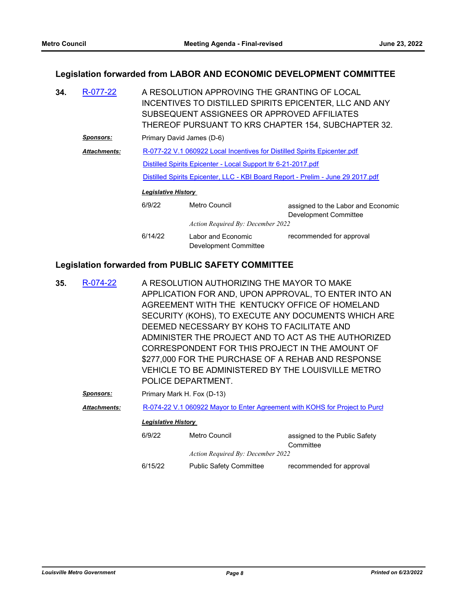#### **Legislation forwarded from LABOR AND ECONOMIC DEVELOPMENT COMMITTEE**

| 34. | R-077-22            | A RESOLUTION APPROVING THE GRANTING OF LOCAL<br>INCENTIVES TO DISTILLED SPIRITS EPICENTER, LLC AND ANY<br>SUBSEQUENT ASSIGNEES OR APPROVED AFFILIATES<br>THEREOF PURSUANT TO KRS CHAPTER 154, SUBCHAPTER 32. |                                             |                                                                                 |  |
|-----|---------------------|--------------------------------------------------------------------------------------------------------------------------------------------------------------------------------------------------------------|---------------------------------------------|---------------------------------------------------------------------------------|--|
|     | <u>Sponsors:</u>    | Primary David James (D-6)                                                                                                                                                                                    |                                             |                                                                                 |  |
|     | <b>Attachments:</b> | R-077-22 V.1 060922 Local Incentives for Distilled Spirits Epicenter.pdf                                                                                                                                     |                                             |                                                                                 |  |
|     |                     | Distilled Spirits Epicenter - Local Support Itr 6-21-2017.pdf                                                                                                                                                |                                             |                                                                                 |  |
|     |                     |                                                                                                                                                                                                              |                                             | Distilled Spirits Epicenter, LLC - KBI Board Report - Prelim - June 29 2017.pdf |  |
|     |                     | <b>Legislative History</b>                                                                                                                                                                                   |                                             |                                                                                 |  |
|     |                     | 6/9/22                                                                                                                                                                                                       | Metro Council                               | assigned to the Labor and Economic<br>Development Committee                     |  |
|     |                     |                                                                                                                                                                                                              | Action Required By: December 2022           |                                                                                 |  |
|     |                     | 6/14/22                                                                                                                                                                                                      | Labor and Economic<br>Development Committee | recommended for approval                                                        |  |

#### **Legislation forwarded from PUBLIC SAFETY COMMITTEE**

A RESOLUTION AUTHORIZING THE MAYOR TO MAKE APPLICATION FOR AND, UPON APPROVAL, TO ENTER INTO AN AGREEMENT WITH THE KENTUCKY OFFICE OF HOMELAND SECURITY (KOHS), TO EXECUTE ANY DOCUMENTS WHICH ARE DEEMED NECESSARY BY KOHS TO FACILITATE AND ADMINISTER THE PROJECT AND TO ACT AS THE AUTHORIZED CORRESPONDENT FOR THIS PROJECT IN THE AMOUNT OF \$277,000 FOR THE PURCHASE OF A REHAB AND RESPONSE VEHICLE TO BE ADMINISTERED BY THE LOUISVILLE METRO POLICE DEPARTMENT. **35.** [R-074-22](http://louisville.legistar.com/gateway.aspx?m=l&id=/matter.aspx?key=60354) **Sponsors:** Primary Mark H. Fox (D-13)

Attachments: R-074-22 V.1 060922 Mayor to Enter Agreement with KOHS for Project to Purcles. *Legislative History* 

| 6/9/22  | Metro Council                     | assigned to the Public Safety |
|---------|-----------------------------------|-------------------------------|
|         |                                   | Committee                     |
|         | Action Required By: December 2022 |                               |
| 6/15/22 | <b>Public Safety Committee</b>    | recommended for approval      |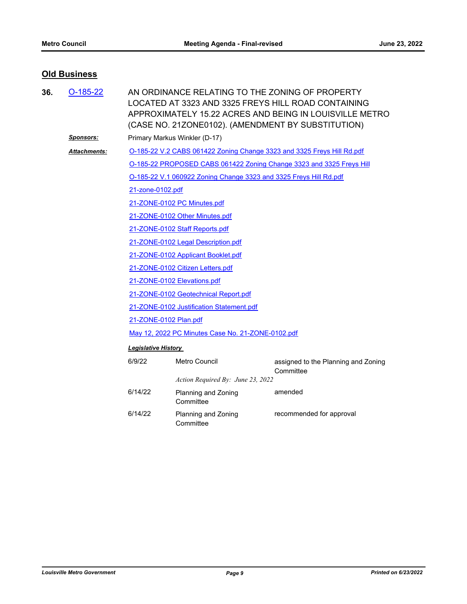### **Old Business**

| 36. | $O-185-22$       | AN ORDINANCE RELATING TO THE ZONING OF PROPERTY<br>LOCATED AT 3323 AND 3325 FREYS HILL ROAD CONTAINING<br>APPROXIMATELY 15.22 ACRES AND BEING IN LOUISVILLE METRO<br>(CASE NO. 21ZONE0102). (AMENDMENT BY SUBSTITUTION) |                                                                   |                                                                      |  |  |
|-----|------------------|-------------------------------------------------------------------------------------------------------------------------------------------------------------------------------------------------------------------------|-------------------------------------------------------------------|----------------------------------------------------------------------|--|--|
|     | <b>Sponsors:</b> | Primary Markus Winkler (D-17)                                                                                                                                                                                           |                                                                   |                                                                      |  |  |
|     | Attachments:     | O-185-22 V.2 CABS 061422 Zoning Change 3323 and 3325 Freys Hill Rd.pdf                                                                                                                                                  |                                                                   |                                                                      |  |  |
|     |                  |                                                                                                                                                                                                                         |                                                                   | O-185-22 PROPOSED CABS 061422 Zoning Change 3323 and 3325 Freys Hill |  |  |
|     |                  |                                                                                                                                                                                                                         | O-185-22 V.1 060922 Zoning Change 3323 and 3325 Freys Hill Rd.pdf |                                                                      |  |  |
|     |                  | 21-zone-0102.pdf                                                                                                                                                                                                        |                                                                   |                                                                      |  |  |
|     |                  | 21-ZONE-0102 PC Minutes.pdf                                                                                                                                                                                             |                                                                   |                                                                      |  |  |
|     |                  | 21-ZONE-0102 Other Minutes.pdf                                                                                                                                                                                          |                                                                   |                                                                      |  |  |
|     |                  | 21-ZONE-0102 Staff Reports.pdf                                                                                                                                                                                          |                                                                   |                                                                      |  |  |
|     |                  |                                                                                                                                                                                                                         | 21-ZONE-0102 Legal Description.pdf                                |                                                                      |  |  |
|     |                  | 21-ZONE-0102 Applicant Booklet.pdf                                                                                                                                                                                      |                                                                   |                                                                      |  |  |
|     |                  | 21-ZONE-0102 Citizen Letters.pdf                                                                                                                                                                                        |                                                                   |                                                                      |  |  |
|     |                  | 21-ZONE-0102 Elevations.pdf                                                                                                                                                                                             |                                                                   |                                                                      |  |  |
|     |                  | 21-ZONE-0102 Geotechnical Report.pdf                                                                                                                                                                                    |                                                                   |                                                                      |  |  |
|     |                  | 21-ZONE-0102 Justification Statement.pdf                                                                                                                                                                                |                                                                   |                                                                      |  |  |
|     |                  | 21-ZONE-0102 Plan.pdf                                                                                                                                                                                                   |                                                                   |                                                                      |  |  |
|     |                  | May 12, 2022 PC Minutes Case No. 21-ZONE-0102.pdf                                                                                                                                                                       |                                                                   |                                                                      |  |  |
|     |                  | <b>Legislative History</b>                                                                                                                                                                                              |                                                                   |                                                                      |  |  |
|     |                  | 6/9/22                                                                                                                                                                                                                  | <b>Metro Council</b>                                              | assigned to the Planning and Zoning<br>Committee                     |  |  |
|     |                  |                                                                                                                                                                                                                         | Action Required By: June 23, 2022                                 |                                                                      |  |  |
|     |                  | 6/14/22                                                                                                                                                                                                                 | Planning and Zoning<br>Committee                                  | amended                                                              |  |  |
|     |                  | 6/14/22                                                                                                                                                                                                                 | Planning and Zoning<br>Committee                                  | recommended for approval                                             |  |  |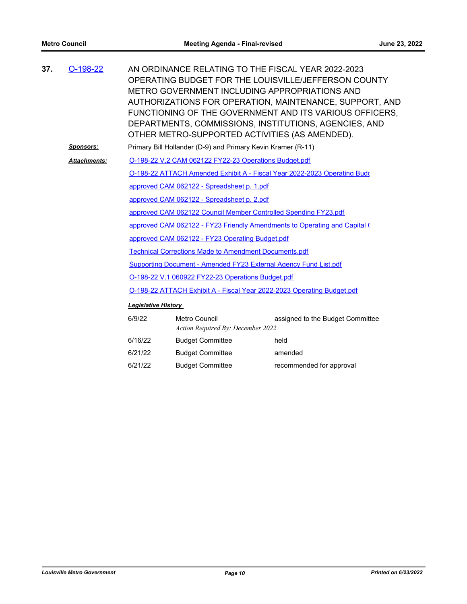| 37. | $O-198-22$          |                                                                           | AN ORDINANCE RELATING TO THE FISCAL YEAR 2022-2023<br>METRO GOVERNMENT INCLUDING APPROPRIATIONS AND<br>OTHER METRO-SUPPORTED ACTIVITIES (AS AMENDED). | OPERATING BUDGET FOR THE LOUISVILLE/JEFFERSON COUNTY<br>AUTHORIZATIONS FOR OPERATION, MAINTENANCE, SUPPORT, AND<br>FUNCTIONING OF THE GOVERNMENT AND ITS VARIOUS OFFICERS.<br>DEPARTMENTS, COMMISSIONS, INSTITUTIONS, AGENCIES, AND |  |  |
|-----|---------------------|---------------------------------------------------------------------------|-------------------------------------------------------------------------------------------------------------------------------------------------------|-------------------------------------------------------------------------------------------------------------------------------------------------------------------------------------------------------------------------------------|--|--|
|     | <b>Sponsors:</b>    |                                                                           | Primary Bill Hollander (D-9) and Primary Kevin Kramer (R-11)                                                                                          |                                                                                                                                                                                                                                     |  |  |
|     | <b>Attachments:</b> |                                                                           | O-198-22 V.2 CAM 062122 FY22-23 Operations Budget.pdf                                                                                                 |                                                                                                                                                                                                                                     |  |  |
|     |                     |                                                                           |                                                                                                                                                       | O-198-22 ATTACH Amended Exhibit A - Fiscal Year 2022-2023 Operating Budo                                                                                                                                                            |  |  |
|     |                     |                                                                           | approved CAM 062122 - Spreadsheet p. 1.pdf                                                                                                            |                                                                                                                                                                                                                                     |  |  |
|     |                     |                                                                           | approved CAM 062122 - Spreadsheet p. 2.pdf                                                                                                            |                                                                                                                                                                                                                                     |  |  |
|     |                     |                                                                           | approved CAM 062122 Council Member Controlled Spending FY23.pdf                                                                                       |                                                                                                                                                                                                                                     |  |  |
|     |                     | approved CAM 062122 - FY23 Friendly Amendments to Operating and Capital ( |                                                                                                                                                       |                                                                                                                                                                                                                                     |  |  |
|     |                     | approved CAM 062122 - FY23 Operating Budget.pdf                           |                                                                                                                                                       |                                                                                                                                                                                                                                     |  |  |
|     |                     |                                                                           | <b>Technical Corrections Made to Amendment Documents.pdf</b>                                                                                          |                                                                                                                                                                                                                                     |  |  |
|     |                     |                                                                           | Supporting Document - Amended FY23 External Agency Fund List.pdf                                                                                      |                                                                                                                                                                                                                                     |  |  |
|     |                     | O-198-22 V.1 060922 FY22-23 Operations Budget.pdf                         |                                                                                                                                                       |                                                                                                                                                                                                                                     |  |  |
|     |                     | O-198-22 ATTACH Exhibit A - Fiscal Year 2022-2023 Operating Budget.pdf    |                                                                                                                                                       |                                                                                                                                                                                                                                     |  |  |
|     |                     | <b>Legislative History</b>                                                |                                                                                                                                                       |                                                                                                                                                                                                                                     |  |  |
|     |                     | 6/9/22                                                                    | Metro Council<br>Action Required By: December 2022                                                                                                    | assigned to the Budget Committee                                                                                                                                                                                                    |  |  |
|     |                     | 6/16/22                                                                   | <b>Budget Committee</b>                                                                                                                               | held                                                                                                                                                                                                                                |  |  |
|     |                     | 6/21/22                                                                   | <b>Budget Committee</b>                                                                                                                               | amended                                                                                                                                                                                                                             |  |  |

6/21/22 Budget Committee recommended for approval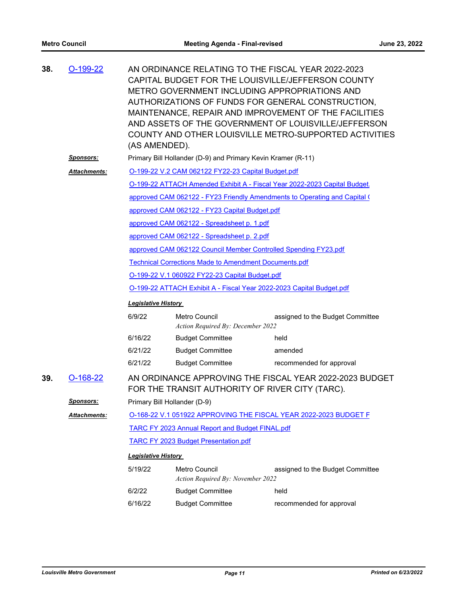| 38. | O-199-22          | (AS AMENDED).                                                                                              |                                                              | AN ORDINANCE RELATING TO THE FISCAL YEAR 2022-2023<br>CAPITAL BUDGET FOR THE LOUISVILLE/JEFFERSON COUNTY<br>METRO GOVERNMENT INCLUDING APPROPRIATIONS AND<br>AUTHORIZATIONS OF FUNDS FOR GENERAL CONSTRUCTION,<br>MAINTENANCE, REPAIR AND IMPROVEMENT OF THE FACILITIES<br>AND ASSETS OF THE GOVERNMENT OF LOUISVILLE/JEFFERSON<br>COUNTY AND OTHER LOUISVILLE METRO-SUPPORTED ACTIVITIES |  |  |  |
|-----|-------------------|------------------------------------------------------------------------------------------------------------|--------------------------------------------------------------|-------------------------------------------------------------------------------------------------------------------------------------------------------------------------------------------------------------------------------------------------------------------------------------------------------------------------------------------------------------------------------------------|--|--|--|
|     | <u>Sponsors:</u>  |                                                                                                            | Primary Bill Hollander (D-9) and Primary Kevin Kramer (R-11) |                                                                                                                                                                                                                                                                                                                                                                                           |  |  |  |
|     | Attachments:      |                                                                                                            | O-199-22 V.2 CAM 062122 FY22-23 Capital Budget.pdf           |                                                                                                                                                                                                                                                                                                                                                                                           |  |  |  |
|     |                   |                                                                                                            |                                                              | O-199-22 ATTACH Amended Exhibit A - Fiscal Year 2022-2023 Capital Budget                                                                                                                                                                                                                                                                                                                  |  |  |  |
|     |                   |                                                                                                            |                                                              | approved CAM 062122 - FY23 Friendly Amendments to Operating and Capital (                                                                                                                                                                                                                                                                                                                 |  |  |  |
|     |                   |                                                                                                            | approved CAM 062122 - FY23 Capital Budget.pdf                |                                                                                                                                                                                                                                                                                                                                                                                           |  |  |  |
|     |                   |                                                                                                            | approved CAM 062122 - Spreadsheet p. 1.pdf                   |                                                                                                                                                                                                                                                                                                                                                                                           |  |  |  |
|     |                   | approved CAM 062122 - Spreadsheet p. 2.pdf                                                                 |                                                              |                                                                                                                                                                                                                                                                                                                                                                                           |  |  |  |
|     |                   | approved CAM 062122 Council Member Controlled Spending FY23.pdf                                            |                                                              |                                                                                                                                                                                                                                                                                                                                                                                           |  |  |  |
|     |                   | <b>Technical Corrections Made to Amendment Documents.pdf</b>                                               |                                                              |                                                                                                                                                                                                                                                                                                                                                                                           |  |  |  |
|     |                   | O-199-22 V.1 060922 FY22-23 Capital Budget.pdf                                                             |                                                              |                                                                                                                                                                                                                                                                                                                                                                                           |  |  |  |
|     |                   | O-199-22 ATTACH Exhibit A - Fiscal Year 2022-2023 Capital Budget.pdf                                       |                                                              |                                                                                                                                                                                                                                                                                                                                                                                           |  |  |  |
|     |                   | <b>Legislative History</b>                                                                                 |                                                              |                                                                                                                                                                                                                                                                                                                                                                                           |  |  |  |
|     |                   | 6/9/22                                                                                                     | Metro Council<br>Action Required By: December 2022           | assigned to the Budget Committee                                                                                                                                                                                                                                                                                                                                                          |  |  |  |
|     |                   | 6/16/22                                                                                                    | <b>Budget Committee</b>                                      | held                                                                                                                                                                                                                                                                                                                                                                                      |  |  |  |
|     |                   | 6/21/22                                                                                                    | <b>Budget Committee</b>                                      | amended                                                                                                                                                                                                                                                                                                                                                                                   |  |  |  |
|     |                   | 6/21/22                                                                                                    | <b>Budget Committee</b>                                      | recommended for approval                                                                                                                                                                                                                                                                                                                                                                  |  |  |  |
| 39. | $O-168-22$        | AN ORDINANCE APPROVING THE FISCAL YEAR 2022-2023 BUDGET<br>FOR THE TRANSIT AUTHORITY OF RIVER CITY (TARC). |                                                              |                                                                                                                                                                                                                                                                                                                                                                                           |  |  |  |
|     | <u> Sponsors:</u> |                                                                                                            | Primary Bill Hollander (D-9)                                 |                                                                                                                                                                                                                                                                                                                                                                                           |  |  |  |
|     | Attachments:      | O-168-22 V.1 051922 APPROVING THE FISCAL YEAR 2022-2023 BUDGET F                                           |                                                              |                                                                                                                                                                                                                                                                                                                                                                                           |  |  |  |
|     |                   | <b>TARC FY 2023 Annual Report and Budget FINAL.pdf</b>                                                     |                                                              |                                                                                                                                                                                                                                                                                                                                                                                           |  |  |  |
|     |                   |                                                                                                            | <b>TARC FY 2023 Budget Presentation.pdf</b>                  |                                                                                                                                                                                                                                                                                                                                                                                           |  |  |  |
|     |                   | <b>Legislative History</b>                                                                                 |                                                              |                                                                                                                                                                                                                                                                                                                                                                                           |  |  |  |
|     |                   | 5/19/22                                                                                                    | <b>Metro Council</b><br>Action Required By: November 2022    | assigned to the Budget Committee                                                                                                                                                                                                                                                                                                                                                          |  |  |  |
|     |                   | 6/2/22                                                                                                     | <b>Budget Committee</b>                                      | held                                                                                                                                                                                                                                                                                                                                                                                      |  |  |  |
|     |                   | 6/16/22                                                                                                    | <b>Budget Committee</b>                                      | recommended for approval                                                                                                                                                                                                                                                                                                                                                                  |  |  |  |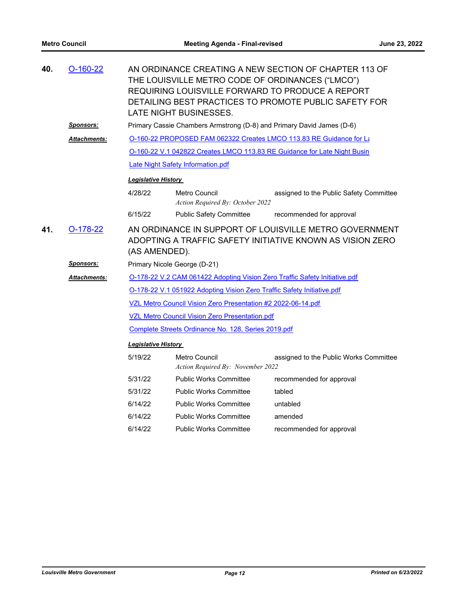| 40. | $O-160-22$                                                                                                                                         | AN ORDINANCE CREATING A NEW SECTION OF CHAPTER 113 OF<br>THE LOUISVILLE METRO CODE OF ORDINANCES ("LMCO")<br>REQUIRING LOUISVILLE FORWARD TO PRODUCE A REPORT<br>DETAILING BEST PRACTICES TO PROMOTE PUBLIC SAFETY FOR<br>LATE NIGHT BUSINESSES. |                                                                            |                                                                          |  |  |
|-----|----------------------------------------------------------------------------------------------------------------------------------------------------|--------------------------------------------------------------------------------------------------------------------------------------------------------------------------------------------------------------------------------------------------|----------------------------------------------------------------------------|--------------------------------------------------------------------------|--|--|
|     | <u>Sponsors:</u>                                                                                                                                   |                                                                                                                                                                                                                                                  | Primary Cassie Chambers Armstrong (D-8) and Primary David James (D-6)      |                                                                          |  |  |
|     | Attachments:                                                                                                                                       |                                                                                                                                                                                                                                                  |                                                                            | O-160-22 PROPOSED FAM 062322 Creates LMCO 113.83 RE Guidance for La      |  |  |
|     |                                                                                                                                                    |                                                                                                                                                                                                                                                  |                                                                            | O-160-22 V.1 042822 Creates LMCO 113.83 RE Guidance for Late Night Busin |  |  |
|     |                                                                                                                                                    |                                                                                                                                                                                                                                                  | Late Night Safety Information.pdf                                          |                                                                          |  |  |
|     |                                                                                                                                                    | <b>Legislative History</b>                                                                                                                                                                                                                       |                                                                            |                                                                          |  |  |
|     |                                                                                                                                                    | 4/28/22                                                                                                                                                                                                                                          | <b>Metro Council</b><br>Action Required By: October 2022                   | assigned to the Public Safety Committee                                  |  |  |
|     |                                                                                                                                                    | 6/15/22                                                                                                                                                                                                                                          | <b>Public Safety Committee</b>                                             | recommended for approval                                                 |  |  |
| 41. | AN ORDINANCE IN SUPPORT OF LOUISVILLE METRO GOVERNMENT<br>$O-178-22$<br>ADOPTING A TRAFFIC SAFETY INITIATIVE KNOWN AS VISION ZERO<br>(AS AMENDED). |                                                                                                                                                                                                                                                  |                                                                            |                                                                          |  |  |
|     | <b>Sponsors:</b>                                                                                                                                   |                                                                                                                                                                                                                                                  | Primary Nicole George (D-21)                                               |                                                                          |  |  |
|     | <b>Attachments:</b>                                                                                                                                |                                                                                                                                                                                                                                                  | O-178-22 V.2 CAM 061422 Adopting Vision Zero Traffic Safety Initiative.pdf |                                                                          |  |  |
|     |                                                                                                                                                    |                                                                                                                                                                                                                                                  | O-178-22 V.1 051922 Adopting Vision Zero Traffic Safety Initiative.pdf     |                                                                          |  |  |
|     |                                                                                                                                                    |                                                                                                                                                                                                                                                  | VZL Metro Council Vision Zero Presentation #2 2022-06-14.pdf               |                                                                          |  |  |
|     |                                                                                                                                                    |                                                                                                                                                                                                                                                  | <b>VZL Metro Council Vision Zero Presentation.pdf</b>                      |                                                                          |  |  |
|     |                                                                                                                                                    |                                                                                                                                                                                                                                                  | Complete Streets Ordinance No. 128, Series 2019.pdf                        |                                                                          |  |  |
|     |                                                                                                                                                    | <b>Legislative History</b>                                                                                                                                                                                                                       |                                                                            |                                                                          |  |  |
|     |                                                                                                                                                    | 5/19/22                                                                                                                                                                                                                                          | Metro Council<br>Action Required By: November 2022                         | assigned to the Public Works Committee                                   |  |  |
|     |                                                                                                                                                    | 5/31/22                                                                                                                                                                                                                                          | <b>Public Works Committee</b>                                              | recommended for approval                                                 |  |  |
|     |                                                                                                                                                    | 5/31/22                                                                                                                                                                                                                                          | <b>Public Works Committee</b>                                              | tabled                                                                   |  |  |
|     |                                                                                                                                                    | 6/14/22                                                                                                                                                                                                                                          | <b>Public Works Committee</b>                                              | untabled                                                                 |  |  |
|     |                                                                                                                                                    | 6/14/22                                                                                                                                                                                                                                          | <b>Public Works Committee</b>                                              | amended                                                                  |  |  |
|     |                                                                                                                                                    | 6/14/22                                                                                                                                                                                                                                          | <b>Public Works Committee</b>                                              | recommended for approval                                                 |  |  |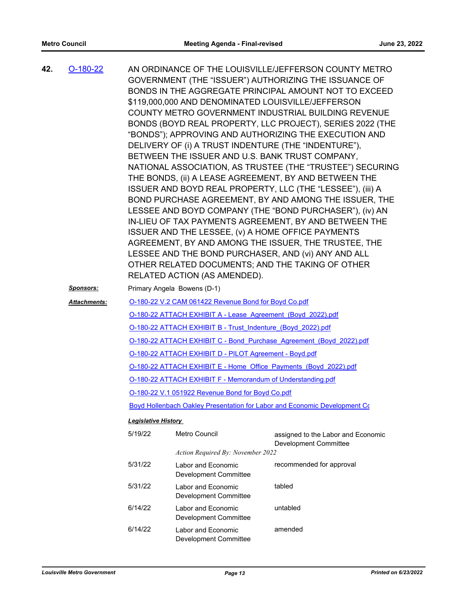| 42. | $O-180-22$       |                            | \$119,000,000 AND DENOMINATED LOUISVILLE/JEFFERSON                  | AN ORDINANCE OF THE LOUISVILLE/JEFFERSON COUNTY METRO<br>GOVERNMENT (THE "ISSUER") AUTHORIZING THE ISSUANCE OF<br>BONDS IN THE AGGREGATE PRINCIPAL AMOUNT NOT TO EXCEED |  |  |  |
|-----|------------------|----------------------------|---------------------------------------------------------------------|-------------------------------------------------------------------------------------------------------------------------------------------------------------------------|--|--|--|
|     |                  |                            |                                                                     | COUNTY METRO GOVERNMENT INDUSTRIAL BUILDING REVENUE                                                                                                                     |  |  |  |
|     |                  |                            |                                                                     | BONDS (BOYD REAL PROPERTY, LLC PROJECT), SERIES 2022 (THE                                                                                                               |  |  |  |
|     |                  |                            |                                                                     | "BONDS"); APPROVING AND AUTHORIZING THE EXECUTION AND                                                                                                                   |  |  |  |
|     |                  |                            | BETWEEN THE ISSUER AND U.S. BANK TRUST COMPANY,                     | DELIVERY OF (i) A TRUST INDENTURE (THE "INDENTURE"),                                                                                                                    |  |  |  |
|     |                  |                            |                                                                     | NATIONAL ASSOCIATION, AS TRUSTEE (THE "TRUSTEE") SECURING                                                                                                               |  |  |  |
|     |                  |                            |                                                                     | THE BONDS, (ii) A LEASE AGREEMENT, BY AND BETWEEN THE                                                                                                                   |  |  |  |
|     |                  |                            |                                                                     | ISSUER AND BOYD REAL PROPERTY, LLC (THE "LESSEE"), (iii) A                                                                                                              |  |  |  |
|     |                  |                            |                                                                     | BOND PURCHASE AGREEMENT, BY AND AMONG THE ISSUER, THE                                                                                                                   |  |  |  |
|     |                  |                            |                                                                     | LESSEE AND BOYD COMPANY (THE "BOND PURCHASER"), (iv) AN<br>IN-LIEU OF TAX PAYMENTS AGREEMENT, BY AND BETWEEN THE                                                        |  |  |  |
|     |                  |                            | ISSUER AND THE LESSEE, (v) A HOME OFFICE PAYMENTS                   |                                                                                                                                                                         |  |  |  |
|     |                  |                            |                                                                     | AGREEMENT, BY AND AMONG THE ISSUER, THE TRUSTEE, THE                                                                                                                    |  |  |  |
|     |                  |                            |                                                                     | LESSEE AND THE BOND PURCHASER, AND (vi) ANY AND ALL                                                                                                                     |  |  |  |
|     |                  |                            |                                                                     | OTHER RELATED DOCUMENTS; AND THE TAKING OF OTHER                                                                                                                        |  |  |  |
|     |                  |                            | RELATED ACTION (AS AMENDED).                                        |                                                                                                                                                                         |  |  |  |
|     | <b>Sponsors:</b> |                            | Primary Angela Bowens (D-1)                                         |                                                                                                                                                                         |  |  |  |
|     | Attachments:     |                            | O-180-22 V.2 CAM 061422 Revenue Bond for Boyd Co.pdf                |                                                                                                                                                                         |  |  |  |
|     |                  |                            | O-180-22 ATTACH EXHIBIT A - Lease Agreement (Boyd 2022).pdf         |                                                                                                                                                                         |  |  |  |
|     |                  |                            | O-180-22 ATTACH EXHIBIT B - Trust Indenture (Boyd 2022).pdf         |                                                                                                                                                                         |  |  |  |
|     |                  |                            | O-180-22 ATTACH EXHIBIT C - Bond Purchase Agreement (Boyd 2022).pdf |                                                                                                                                                                         |  |  |  |
|     |                  |                            | O-180-22 ATTACH EXHIBIT D - PILOT Agreement - Boyd.pdf              |                                                                                                                                                                         |  |  |  |
|     |                  |                            | O-180-22 ATTACH EXHIBIT E - Home Office Payments (Boyd 2022).pdf    |                                                                                                                                                                         |  |  |  |
|     |                  |                            | O-180-22 ATTACH EXHIBIT F - Memorandum of Understanding.pdf         |                                                                                                                                                                         |  |  |  |
|     |                  |                            | O-180-22 V.1 051922 Revenue Bond for Boyd Co.pdf                    |                                                                                                                                                                         |  |  |  |
|     |                  |                            |                                                                     | Boyd Hollenbach Oakley Presentation for Labor and Economic Development C $\epsilon$                                                                                     |  |  |  |
|     |                  | <b>Legislative History</b> |                                                                     |                                                                                                                                                                         |  |  |  |
|     |                  | 5/19/22                    | Metro Council                                                       | assigned to the Labor and Economic<br><b>Development Committee</b>                                                                                                      |  |  |  |
|     |                  |                            | Action Required By: November 2022                                   |                                                                                                                                                                         |  |  |  |
|     |                  | 5/31/22                    | Labor and Economic<br>Development Committee                         | recommended for approval                                                                                                                                                |  |  |  |
|     |                  | 5/31/22                    | Labor and Economic<br><b>Development Committee</b>                  | tabled                                                                                                                                                                  |  |  |  |
|     |                  | 6/14/22                    | Labor and Economic<br><b>Development Committee</b>                  | untabled                                                                                                                                                                |  |  |  |
|     |                  | 6/14/22                    | Labor and Economic                                                  | amended                                                                                                                                                                 |  |  |  |

Development Committee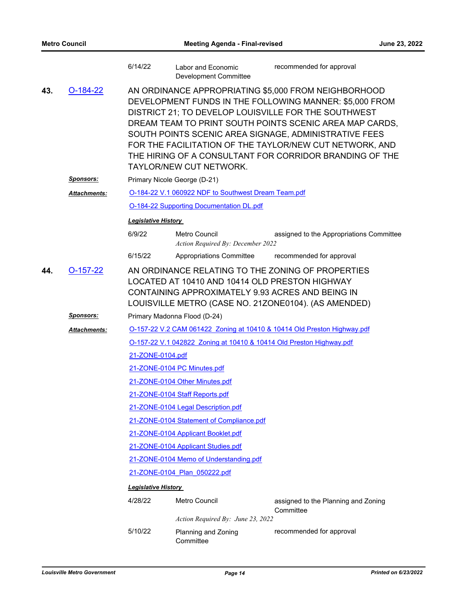|     |                     | 6/14/22                      | Labor and Economic<br><b>Development Committee</b>                                                 | recommended for approval                                                                                                                                                                                                                                                                                                                                                                                          |  |  |
|-----|---------------------|------------------------------|----------------------------------------------------------------------------------------------------|-------------------------------------------------------------------------------------------------------------------------------------------------------------------------------------------------------------------------------------------------------------------------------------------------------------------------------------------------------------------------------------------------------------------|--|--|
| 43. | $O-184-22$          |                              | TAYLOR/NEW CUT NETWORK.                                                                            | AN ORDINANCE APPROPRIATING \$5,000 FROM NEIGHBORHOOD<br>DEVELOPMENT FUNDS IN THE FOLLOWING MANNER: \$5,000 FROM<br>DISTRICT 21; TO DEVELOP LOUISVILLE FOR THE SOUTHWEST<br>DREAM TEAM TO PRINT SOUTH POINTS SCENIC AREA MAP CARDS,<br>SOUTH POINTS SCENIC AREA SIGNAGE, ADMINISTRATIVE FEES<br>FOR THE FACILITATION OF THE TAYLOR/NEW CUT NETWORK, AND<br>THE HIRING OF A CONSULTANT FOR CORRIDOR BRANDING OF THE |  |  |
|     | <u>Sponsors:</u>    |                              | Primary Nicole George (D-21)                                                                       |                                                                                                                                                                                                                                                                                                                                                                                                                   |  |  |
|     | <b>Attachments:</b> |                              | O-184-22 V.1 060922 NDF to Southwest Dream Team.pdf                                                |                                                                                                                                                                                                                                                                                                                                                                                                                   |  |  |
|     |                     |                              | <b>O-184-22 Supporting Documentation DL.pdf</b>                                                    |                                                                                                                                                                                                                                                                                                                                                                                                                   |  |  |
|     |                     | <b>Legislative History</b>   |                                                                                                    |                                                                                                                                                                                                                                                                                                                                                                                                                   |  |  |
|     |                     | 6/9/22                       | Metro Council<br>Action Required By: December 2022                                                 | assigned to the Appropriations Committee                                                                                                                                                                                                                                                                                                                                                                          |  |  |
|     |                     | 6/15/22                      | Appropriations Committee                                                                           | recommended for approval                                                                                                                                                                                                                                                                                                                                                                                          |  |  |
| 44. | $O-157-22$          |                              | LOCATED AT 10410 AND 10414 OLD PRESTON HIGHWAY<br>CONTAINING APPROXIMATELY 9.93 ACRES AND BEING IN | AN ORDINANCE RELATING TO THE ZONING OF PROPERTIES<br>LOUISVILLE METRO (CASE NO. 21ZONE0104). (AS AMENDED)                                                                                                                                                                                                                                                                                                         |  |  |
|     | <u>Sponsors:</u>    |                              | Primary Madonna Flood (D-24)                                                                       |                                                                                                                                                                                                                                                                                                                                                                                                                   |  |  |
|     | <b>Attachments:</b> |                              |                                                                                                    | O-157-22 V.2 CAM 061422 Zoning at 10410 & 10414 Old Preston Highway.pdf                                                                                                                                                                                                                                                                                                                                           |  |  |
|     |                     |                              | O-157-22 V.1 042822 Zoning at 10410 & 10414 Old Preston Highway.pdf                                |                                                                                                                                                                                                                                                                                                                                                                                                                   |  |  |
|     |                     | 21-ZONE-0104.pdf             |                                                                                                    |                                                                                                                                                                                                                                                                                                                                                                                                                   |  |  |
|     |                     |                              | 21-ZONE-0104 PC Minutes.pdf                                                                        |                                                                                                                                                                                                                                                                                                                                                                                                                   |  |  |
|     |                     |                              | 21-ZONE-0104 Other Minutes.pdf                                                                     |                                                                                                                                                                                                                                                                                                                                                                                                                   |  |  |
|     |                     |                              | 21-ZONE-0104 Staff Reports.pdf                                                                     |                                                                                                                                                                                                                                                                                                                                                                                                                   |  |  |
|     |                     |                              | 21-ZONE-0104 Legal Description.pdf                                                                 |                                                                                                                                                                                                                                                                                                                                                                                                                   |  |  |
|     |                     |                              | 21-ZONE-0104 Statement of Compliance.pdf                                                           |                                                                                                                                                                                                                                                                                                                                                                                                                   |  |  |
|     |                     |                              | 21-ZONE-0104 Applicant Booklet.pdf                                                                 |                                                                                                                                                                                                                                                                                                                                                                                                                   |  |  |
|     |                     |                              | 21-ZONE-0104 Applicant Studies.pdf                                                                 |                                                                                                                                                                                                                                                                                                                                                                                                                   |  |  |
|     |                     |                              | 21-ZONE-0104 Memo of Understanding.pdf                                                             |                                                                                                                                                                                                                                                                                                                                                                                                                   |  |  |
|     |                     | 21-ZONE-0104 Plan 050222.pdf |                                                                                                    |                                                                                                                                                                                                                                                                                                                                                                                                                   |  |  |
|     |                     | Legislative History          |                                                                                                    |                                                                                                                                                                                                                                                                                                                                                                                                                   |  |  |
|     |                     | 4/28/22                      | Metro Council                                                                                      | assigned to the Planning and Zoning<br>Committee                                                                                                                                                                                                                                                                                                                                                                  |  |  |
|     |                     |                              | Action Required By: June 23, 2022                                                                  |                                                                                                                                                                                                                                                                                                                                                                                                                   |  |  |
|     |                     | 5/10/22                      | Planning and Zoning<br>Committee                                                                   | recommended for approval                                                                                                                                                                                                                                                                                                                                                                                          |  |  |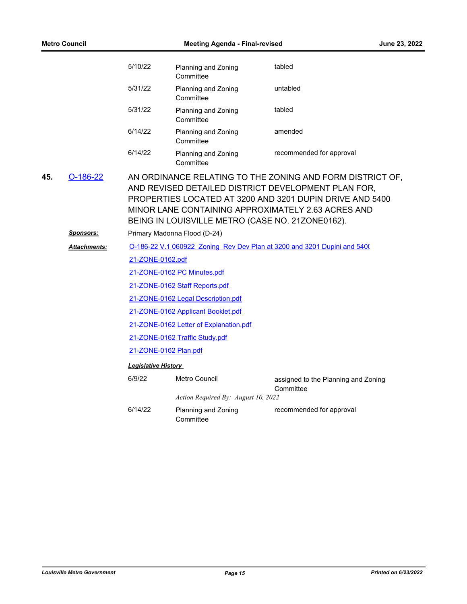| <b>Metro Council</b> |                     |                  | <b>Meeting Agenda - Final-revised</b>  |                                                                                                                                                                                                                                                                                        | June 23, 2022 |  |  |
|----------------------|---------------------|------------------|----------------------------------------|----------------------------------------------------------------------------------------------------------------------------------------------------------------------------------------------------------------------------------------------------------------------------------------|---------------|--|--|
|                      |                     | 5/10/22          | Planning and Zoning<br>Committee       | tabled                                                                                                                                                                                                                                                                                 |               |  |  |
|                      |                     | 5/31/22          | Planning and Zoning<br>Committee       | untabled                                                                                                                                                                                                                                                                               |               |  |  |
|                      |                     | 5/31/22          | Planning and Zoning<br>Committee       | tabled                                                                                                                                                                                                                                                                                 |               |  |  |
|                      |                     | 6/14/22          | Planning and Zoning<br>Committee       | amended                                                                                                                                                                                                                                                                                |               |  |  |
|                      |                     | 6/14/22          | Planning and Zoning<br>Committee       | recommended for approval                                                                                                                                                                                                                                                               |               |  |  |
| 45.                  | $O-186-22$          |                  |                                        | AN ORDINANCE RELATING TO THE ZONING AND FORM DISTRICT OF,<br>AND REVISED DETAILED DISTRICT DEVELOPMENT PLAN FOR,<br>PROPERTIES LOCATED AT 3200 AND 3201 DUPIN DRIVE AND 5400<br>MINOR LANE CONTAINING APPROXIMATELY 2.63 ACRES AND<br>BEING IN LOUISVILLE METRO (CASE NO. 21ZONE0162). |               |  |  |
|                      | Sponsors:           |                  | Primary Madonna Flood (D-24)           |                                                                                                                                                                                                                                                                                        |               |  |  |
|                      | <b>Attachments:</b> |                  |                                        | O-186-22 V.1 060922 Zoning Rev Dev Plan at 3200 and 3201 Dupini and 5400                                                                                                                                                                                                               |               |  |  |
|                      |                     | 21-ZONE-0162.pdf |                                        |                                                                                                                                                                                                                                                                                        |               |  |  |
|                      |                     |                  | 21-ZONE-0162 PC Minutes.pdf            |                                                                                                                                                                                                                                                                                        |               |  |  |
|                      |                     |                  | 21-ZONE-0162 Staff Reports.pdf         |                                                                                                                                                                                                                                                                                        |               |  |  |
|                      |                     |                  | 21-ZONE-0162 Legal Description.pdf     |                                                                                                                                                                                                                                                                                        |               |  |  |
|                      |                     |                  | 21-ZONE-0162 Applicant Booklet.pdf     |                                                                                                                                                                                                                                                                                        |               |  |  |
|                      |                     |                  | 21-ZONE-0162 Letter of Explanation.pdf |                                                                                                                                                                                                                                                                                        |               |  |  |
|                      |                     |                  | 21-ZONE-0162 Traffic Study.pdf         |                                                                                                                                                                                                                                                                                        |               |  |  |
|                      |                     |                  | 21-ZONE-0162 Plan.pdf                  |                                                                                                                                                                                                                                                                                        |               |  |  |
|                      |                     |                  | <b>Legislative History</b>             |                                                                                                                                                                                                                                                                                        |               |  |  |
|                      |                     | 6/9/22           | Metro Council                          | assigned to the Planning and Zoning<br>Committee                                                                                                                                                                                                                                       |               |  |  |
|                      |                     |                  | Action Required By: August 10, 2022    |                                                                                                                                                                                                                                                                                        |               |  |  |
|                      |                     | 6/14/22          | Planning and Zoning<br>Committee       | recommended for approval                                                                                                                                                                                                                                                               |               |  |  |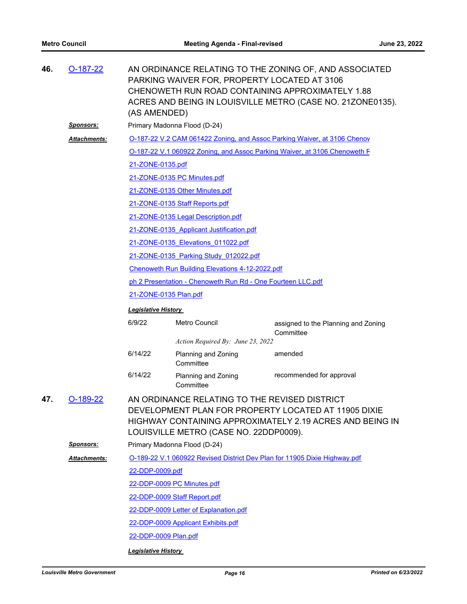| 46. | $O-187-22$          | AN ORDINANCE RELATING TO THE ZONING OF, AND ASSOCIATED<br>PARKING WAIVER FOR, PROPERTY LOCATED AT 3106<br>CHENOWETH RUN ROAD CONTAINING APPROXIMATELY 1.88<br>ACRES AND BEING IN LOUISVILLE METRO (CASE NO. 21ZONE0135).<br>(AS AMENDED) |                                          |                                                                           |  |  |  |  |
|-----|---------------------|------------------------------------------------------------------------------------------------------------------------------------------------------------------------------------------------------------------------------------------|------------------------------------------|---------------------------------------------------------------------------|--|--|--|--|
|     | <u>Sponsors:</u>    | Primary Madonna Flood (D-24)                                                                                                                                                                                                             |                                          |                                                                           |  |  |  |  |
|     | Attachments:        | O-187-22 V.2 CAM 061422 Zoning, and Assoc Parking Waiver, at 3106 Chenov                                                                                                                                                                 |                                          |                                                                           |  |  |  |  |
|     |                     |                                                                                                                                                                                                                                          |                                          | O-187-22 V.1 060922 Zoning, and Assoc Parking Waiver, at 3106 Chenoweth F |  |  |  |  |
|     |                     | 21-ZONE-0135.pdf                                                                                                                                                                                                                         |                                          |                                                                           |  |  |  |  |
|     |                     |                                                                                                                                                                                                                                          | 21-ZONE-0135 PC Minutes.pdf              |                                                                           |  |  |  |  |
|     |                     |                                                                                                                                                                                                                                          | 21-ZONE-0135 Other Minutes.pdf           |                                                                           |  |  |  |  |
|     |                     |                                                                                                                                                                                                                                          | 21-ZONE-0135 Staff Reports.pdf           |                                                                           |  |  |  |  |
|     |                     |                                                                                                                                                                                                                                          | 21-ZONE-0135 Legal Description.pdf       |                                                                           |  |  |  |  |
|     |                     |                                                                                                                                                                                                                                          | 21-ZONE-0135 Applicant Justification.pdf |                                                                           |  |  |  |  |
|     |                     |                                                                                                                                                                                                                                          | 21-ZONE-0135 Elevations 011022.pdf       |                                                                           |  |  |  |  |
|     |                     | 21-ZONE-0135 Parking Study 012022.pdf                                                                                                                                                                                                    |                                          |                                                                           |  |  |  |  |
|     |                     | Chenoweth Run Building Elevations 4-12-2022.pdf                                                                                                                                                                                          |                                          |                                                                           |  |  |  |  |
|     |                     | ph 2 Presentation - Chenoweth Run Rd - One Fourteen LLC.pdf                                                                                                                                                                              |                                          |                                                                           |  |  |  |  |
|     |                     | 21-ZONE-0135 Plan.pdf                                                                                                                                                                                                                    |                                          |                                                                           |  |  |  |  |
|     |                     | <b>Legislative History</b>                                                                                                                                                                                                               |                                          |                                                                           |  |  |  |  |
|     |                     | 6/9/22                                                                                                                                                                                                                                   | Metro Council                            | assigned to the Planning and Zoning<br>Committee                          |  |  |  |  |
|     |                     |                                                                                                                                                                                                                                          | Action Required By: June 23, 2022        |                                                                           |  |  |  |  |
|     |                     | 6/14/22                                                                                                                                                                                                                                  | Planning and Zoning<br>Committee         | amended                                                                   |  |  |  |  |
|     |                     | 6/14/22                                                                                                                                                                                                                                  | Planning and Zoning<br>Committee         | recommended for approval                                                  |  |  |  |  |
| 47. | $O-189-22$          | AN ORDINANCE RELATING TO THE REVISED DISTRICT<br>DEVELOPMENT PLAN FOR PROPERTY LOCATED AT 11905 DIXIE<br>HIGHWAY CONTAINING APPROXIMATELY 2.19 ACRES AND BEING IN<br>LOUISVILLE METRO (CASE NO. 22DDP0009).                              |                                          |                                                                           |  |  |  |  |
|     | <u>Sponsors:</u>    |                                                                                                                                                                                                                                          | Primary Madonna Flood (D-24)             |                                                                           |  |  |  |  |
|     | <b>Attachments:</b> | O-189-22 V.1 060922 Revised District Dev Plan for 11905 Dixie Highway.pdf                                                                                                                                                                |                                          |                                                                           |  |  |  |  |
|     |                     | 22-DDP-0009.pdf                                                                                                                                                                                                                          |                                          |                                                                           |  |  |  |  |
|     |                     | 22-DDP-0009 PC Minutes.pdf                                                                                                                                                                                                               |                                          |                                                                           |  |  |  |  |
|     |                     |                                                                                                                                                                                                                                          | 22-DDP-0009 Staff Report.pdf             |                                                                           |  |  |  |  |
|     |                     |                                                                                                                                                                                                                                          | 22-DDP-0009 Letter of Explanation.pdf    |                                                                           |  |  |  |  |
|     |                     |                                                                                                                                                                                                                                          | 22-DDP-0009 Applicant Exhibits.pdf       |                                                                           |  |  |  |  |
|     |                     | 22-DDP-0009 Plan.pdf                                                                                                                                                                                                                     |                                          |                                                                           |  |  |  |  |
|     |                     | <b>Legislative History</b>                                                                                                                                                                                                               |                                          |                                                                           |  |  |  |  |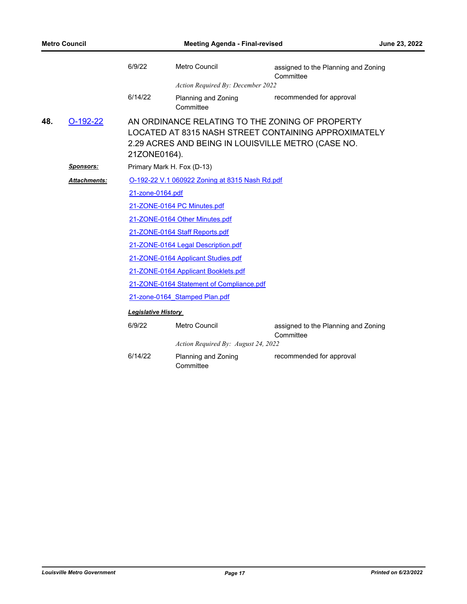|     |                  | 6/9/22                     | Metro Council                                                                                         | assigned to the Planning and Zoning<br>Committee     |
|-----|------------------|----------------------------|-------------------------------------------------------------------------------------------------------|------------------------------------------------------|
|     |                  |                            | Action Required By: December 2022                                                                     |                                                      |
|     |                  | 6/14/22                    | Planning and Zoning<br>Committee                                                                      | recommended for approval                             |
| 48. | $O-192-22$       | 21ZONE0164).               | AN ORDINANCE RELATING TO THE ZONING OF PROPERTY<br>2.29 ACRES AND BEING IN LOUISVILLE METRO (CASE NO. | LOCATED AT 8315 NASH STREET CONTAINING APPROXIMATELY |
|     | <b>Sponsors:</b> |                            | Primary Mark H. Fox (D-13)                                                                            |                                                      |
|     | Attachments:     |                            | O-192-22 V.1 060922 Zoning at 8315 Nash Rd.pdf                                                        |                                                      |
|     |                  | 21-zone-0164.pdf           |                                                                                                       |                                                      |
|     |                  |                            | 21-ZONE-0164 PC Minutes.pdf                                                                           |                                                      |
|     |                  |                            | 21-ZONE-0164 Other Minutes.pdf                                                                        |                                                      |
|     |                  |                            | 21-ZONE-0164 Staff Reports.pdf                                                                        |                                                      |
|     |                  |                            | 21-ZONE-0164 Legal Description.pdf                                                                    |                                                      |
|     |                  |                            | 21-ZONE-0164 Applicant Studies.pdf                                                                    |                                                      |
|     |                  |                            | 21-ZONE-0164 Applicant Booklets.pdf                                                                   |                                                      |
|     |                  |                            | 21-ZONE-0164 Statement of Compliance.pdf                                                              |                                                      |
|     |                  |                            | 21-zone-0164 Stamped Plan.pdf                                                                         |                                                      |
|     |                  | <b>Legislative History</b> |                                                                                                       |                                                      |
|     |                  | 6/9/22                     | Metro Council                                                                                         | assigned to the Planning and Zoning<br>Committee     |
|     |                  |                            | Action Required By: August 24, 2022                                                                   |                                                      |
|     |                  | 6/14/22                    | Planning and Zoning<br>Committee                                                                      | recommended for approval                             |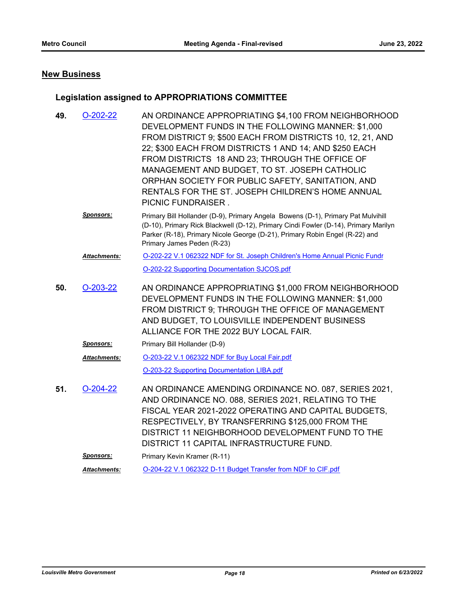### **New Business**

### **Legislation assigned to APPROPRIATIONS COMMITTEE**

| 49. | $O-202-22$          | AN ORDINANCE APPROPRIATING \$4,100 FROM NEIGHBORHOOD<br>DEVELOPMENT FUNDS IN THE FOLLOWING MANNER: \$1,000<br>FROM DISTRICT 9; \$500 EACH FROM DISTRICTS 10, 12, 21, AND<br>22; \$300 EACH FROM DISTRICTS 1 AND 14; AND \$250 EACH<br>FROM DISTRICTS 18 AND 23; THROUGH THE OFFICE OF<br>MANAGEMENT AND BUDGET, TO ST. JOSEPH CATHOLIC<br>ORPHAN SOCIETY FOR PUBLIC SAFETY, SANITATION, AND<br>RENTALS FOR THE ST. JOSEPH CHILDREN'S HOME ANNUAL<br>PICNIC FUNDRAISER. |
|-----|---------------------|------------------------------------------------------------------------------------------------------------------------------------------------------------------------------------------------------------------------------------------------------------------------------------------------------------------------------------------------------------------------------------------------------------------------------------------------------------------------|
|     | <b>Sponsors:</b>    | Primary Bill Hollander (D-9), Primary Angela Bowens (D-1), Primary Pat Mulvihill<br>(D-10), Primary Rick Blackwell (D-12), Primary Cindi Fowler (D-14), Primary Marilyn<br>Parker (R-18), Primary Nicole George (D-21), Primary Robin Engel (R-22) and<br>Primary James Peden (R-23)                                                                                                                                                                                   |
|     | <b>Attachments:</b> | O-202-22 V.1 062322 NDF for St. Joseph Children's Home Annual Picnic Fundr                                                                                                                                                                                                                                                                                                                                                                                             |
|     |                     | O-202-22 Supporting Documentation SJCOS.pdf                                                                                                                                                                                                                                                                                                                                                                                                                            |
| 50. | $O-203-22$          | AN ORDINANCE APPROPRIATING \$1,000 FROM NEIGHBORHOOD<br>DEVELOPMENT FUNDS IN THE FOLLOWING MANNER: \$1,000<br>FROM DISTRICT 9; THROUGH THE OFFICE OF MANAGEMENT<br>AND BUDGET, TO LOUISVILLE INDEPENDENT BUSINESS<br>ALLIANCE FOR THE 2022 BUY LOCAL FAIR.                                                                                                                                                                                                             |
|     | <u>Sponsors:</u>    | Primary Bill Hollander (D-9)                                                                                                                                                                                                                                                                                                                                                                                                                                           |
|     | <b>Attachments:</b> | O-203-22 V.1 062322 NDF for Buy Local Fair.pdf                                                                                                                                                                                                                                                                                                                                                                                                                         |
|     |                     | O-203-22 Supporting Documentation LIBA.pdf                                                                                                                                                                                                                                                                                                                                                                                                                             |
| 51. | $O-204-22$          | AN ORDINANCE AMENDING ORDINANCE NO. 087, SERIES 2021,<br>AND ORDINANCE NO. 088, SERIES 2021, RELATING TO THE<br>FISCAL YEAR 2021-2022 OPERATING AND CAPITAL BUDGETS,<br>RESPECTIVELY, BY TRANSFERRING \$125,000 FROM THE<br>DISTRICT 11 NEIGHBORHOOD DEVELOPMENT FUND TO THE<br>DISTRICT 11 CAPITAL INFRASTRUCTURE FUND.                                                                                                                                               |
|     | <b>Sponsors:</b>    | Primary Kevin Kramer (R-11)                                                                                                                                                                                                                                                                                                                                                                                                                                            |
|     | <b>Attachments:</b> | O-204-22 V.1 062322 D-11 Budget Transfer from NDF to CIF.pdf                                                                                                                                                                                                                                                                                                                                                                                                           |
|     |                     |                                                                                                                                                                                                                                                                                                                                                                                                                                                                        |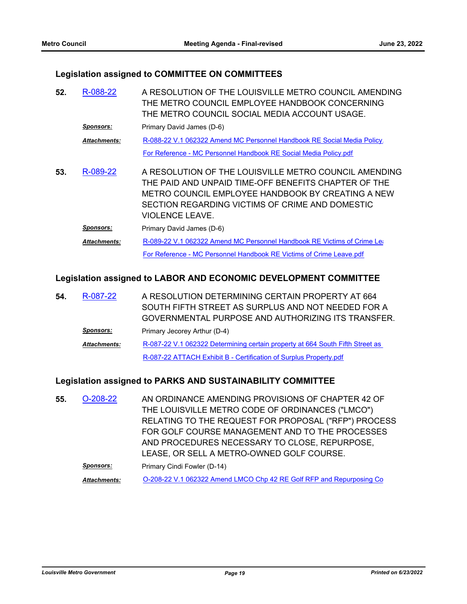#### **Legislation assigned to COMMITTEE ON COMMITTEES**

| 52. | R-088-22            | A RESOLUTION OF THE LOUISVILLE METRO COUNCIL AMENDING<br>THE METRO COUNCIL EMPLOYEE HANDBOOK CONCERNING<br>THE METRO COUNCIL SOCIAL MEDIA ACCOUNT USAGE.                                                                                 |
|-----|---------------------|------------------------------------------------------------------------------------------------------------------------------------------------------------------------------------------------------------------------------------------|
|     | <b>Sponsors:</b>    | Primary David James (D-6)                                                                                                                                                                                                                |
|     | <b>Attachments:</b> | R-088-22 V.1 062322 Amend MC Personnel Handbook RE Social Media Policy.                                                                                                                                                                  |
|     |                     | For Reference - MC Personnel Handbook RE Social Media Policy.pdf                                                                                                                                                                         |
| 53. | R-089-22            | A RESOLUTION OF THE LOUISVILLE METRO COUNCIL AMENDING<br>THE PAID AND UNPAID TIME-OFF BENEFITS CHAPTER OF THE<br>METRO COUNCIL EMPLOYEE HANDBOOK BY CREATING A NEW<br>SECTION REGARDING VICTIMS OF CRIME AND DOMESTIC<br>VIOLENCE LEAVE. |
|     | <b>Sponsors:</b>    | Primary David James (D-6)                                                                                                                                                                                                                |
|     | <b>Attachments:</b> | R-089-22 V.1 062322 Amend MC Personnel Handbook RE Victims of Crime Let                                                                                                                                                                  |
|     |                     | For Reference - MC Personnel Handbook RE Victims of Crime Leave.pdf                                                                                                                                                                      |

#### **Legislation assigned to LABOR AND ECONOMIC DEVELOPMENT COMMITTEE**

| 54. | R-087-22            | A RESOLUTION DETERMINING CERTAIN PROPERTY AT 664                              |
|-----|---------------------|-------------------------------------------------------------------------------|
|     |                     | SOUTH FIFTH STREET AS SURPLUS AND NOT NEEDED FOR A                            |
|     |                     | GOVERNMENTAL PURPOSE AND AUTHORIZING ITS TRANSFER.                            |
|     | <b>Sponsors:</b>    | Primary Jecorey Arthur (D-4)                                                  |
|     | <b>Attachments:</b> | R-087-22 V.1 062322 Determining certain property at 664 South Fifth Street as |
|     |                     | R-087-22 ATTACH Exhibit B - Certification of Surplus Property.pdf             |

#### **Legislation assigned to PARKS AND SUSTAINABILITY COMMITTEE**

AN ORDINANCE AMENDING PROVISIONS OF CHAPTER 42 OF THE LOUISVILLE METRO CODE OF ORDINANCES ("LMCO") RELATING TO THE REQUEST FOR PROPOSAL ("RFP") PROCESS FOR GOLF COURSE MANAGEMENT AND TO THE PROCESSES AND PROCEDURES NECESSARY TO CLOSE, REPURPOSE, LEASE, OR SELL A METRO-OWNED GOLF COURSE. **55.** [O-208-22](http://louisville.legistar.com/gateway.aspx?m=l&id=/matter.aspx?key=60847) **Sponsors:** Primary Cindi Fowler (D-14) Attachments: **[O-208-22 V.1 062322 Amend LMCO Chp 42 RE Golf RFP and Repurposing Co](http://louisville.legistar.com/gateway.aspx?M=F&ID=374b4df3-5186-4045-b86b-e871c16db562.pdf)**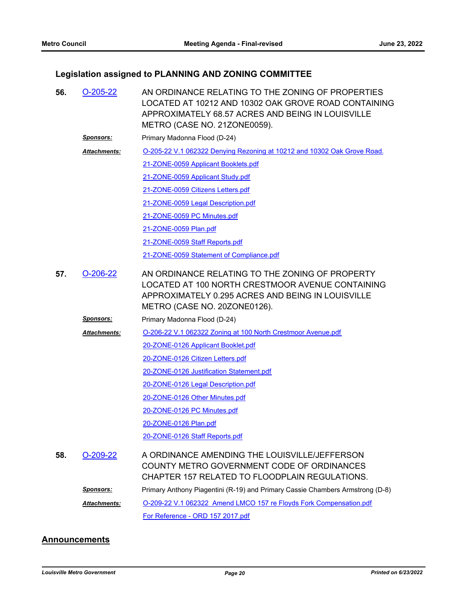### **Legislation assigned to PLANNING AND ZONING COMMITTEE**

| 56. | $O-205-22$       | AN ORDINANCE RELATING TO THE ZONING OF PROPERTIES<br>LOCATED AT 10212 AND 10302 OAK GROVE ROAD CONTAINING<br>APPROXIMATELY 68.57 ACRES AND BEING IN LOUISVILLE<br>METRO (CASE NO. 21ZONE0059). |
|-----|------------------|------------------------------------------------------------------------------------------------------------------------------------------------------------------------------------------------|
|     | <b>Sponsors:</b> | Primary Madonna Flood (D-24)                                                                                                                                                                   |
|     | Attachments:     | O-205-22 V.1 062322 Denying Rezoning at 10212 and 10302 Oak Grove Road.                                                                                                                        |
|     |                  | 21-ZONE-0059 Applicant Booklets.pdf                                                                                                                                                            |
|     |                  | 21-ZONE-0059 Applicant Study.pdf                                                                                                                                                               |
|     |                  | 21-ZONE-0059 Citizens Letters.pdf                                                                                                                                                              |
|     |                  | 21-ZONE-0059 Legal Description.pdf                                                                                                                                                             |
|     |                  | 21-ZONE-0059 PC Minutes.pdf                                                                                                                                                                    |
|     |                  | 21-ZONE-0059 Plan.pdf                                                                                                                                                                          |
|     |                  | 21-ZONE-0059 Staff Reports.pdf                                                                                                                                                                 |
|     |                  | 21-ZONE-0059 Statement of Compliance.pdf                                                                                                                                                       |
| 57. | $O-206-22$       | AN ORDINANCE RELATING TO THE ZONING OF PROPERTY<br>LOCATED AT 100 NORTH CRESTMOOR AVENUE CONTAINING<br>APPROXIMATELY 0.295 ACRES AND BEING IN LOUISVILLE<br>METRO (CASE NO. 20ZONE0126).       |
|     | <u>Sponsors:</u> | Primary Madonna Flood (D-24)                                                                                                                                                                   |
|     | Attachments:     | O-206-22 V.1 062322 Zoning at 100 North Crestmoor Avenue.pdf                                                                                                                                   |
|     |                  | 20-ZONE-0126 Applicant Booklet.pdf                                                                                                                                                             |
|     |                  | 20-ZONE-0126 Citizen Letters.pdf                                                                                                                                                               |
|     |                  | 20-ZONE-0126 Justification Statement.pdf                                                                                                                                                       |
|     |                  | 20-ZONE-0126 Legal Description.pdf                                                                                                                                                             |
|     |                  | 20-ZONE-0126 Other Minutes.pdf                                                                                                                                                                 |
|     |                  | 20-ZONE-0126 PC Minutes.pdf                                                                                                                                                                    |
|     |                  | 20-ZONE-0126 Plan.pdf                                                                                                                                                                          |
|     |                  | 20-ZONE-0126 Staff Reports.pdf                                                                                                                                                                 |
| 58. | $O-209-22$       | A ORDINANCE AMENDING THE LOUISVILLE/JEFFERSON<br>COUNTY METRO GOVERNMENT CODE OF ORDINANCES<br>CHAPTER 157 RELATED TO FLOODPLAIN REGULATIONS.                                                  |
|     | <u>Sponsors:</u> | Primary Anthony Piagentini (R-19) and Primary Cassie Chambers Armstrong (D-8)                                                                                                                  |
|     | Attachments:     | O-209-22 V.1 062322 Amend LMCO 157 re Floyds Fork Compensation.pdf                                                                                                                             |
|     |                  | For Reference - ORD 157 2017.pdf                                                                                                                                                               |

#### **Announcements**